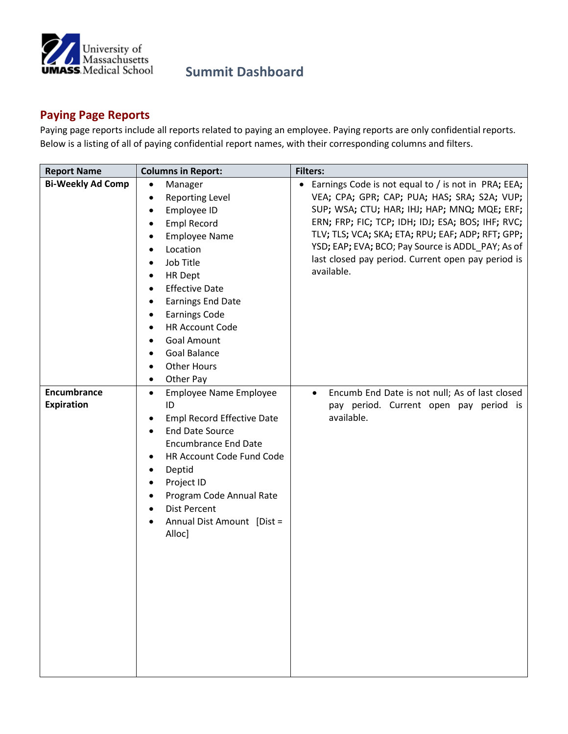

## **Summit Dashboard**

## **Paying Page Reports**

Paying page reports include all reports related to paying an employee. Paying reports are only confidential reports. Below is a listing of all of paying confidential report names, with their corresponding columns and filters.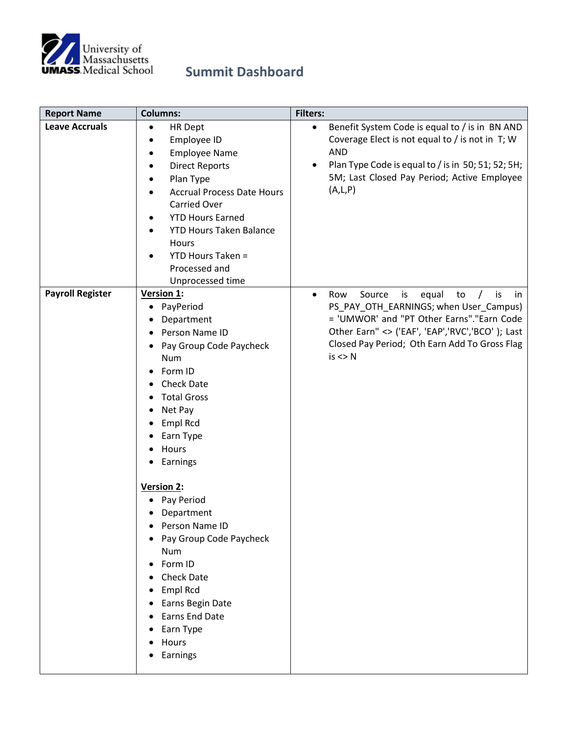

## **Summit Dashboard**

| <b>Report Name</b>      | <b>Columns:</b>                                                                                                                                                                                                                                                                                                                                                                                                                                                                             | <b>Filters:</b>                                                                                                                                                                                                                                                   |
|-------------------------|---------------------------------------------------------------------------------------------------------------------------------------------------------------------------------------------------------------------------------------------------------------------------------------------------------------------------------------------------------------------------------------------------------------------------------------------------------------------------------------------|-------------------------------------------------------------------------------------------------------------------------------------------------------------------------------------------------------------------------------------------------------------------|
| <b>Leave Accruals</b>   | <b>HR Dept</b><br>$\bullet$<br>Employee ID<br>٠<br><b>Employee Name</b><br><b>Direct Reports</b><br>٠<br>Plan Type<br><b>Accrual Process Date Hours</b><br><b>Carried Over</b><br><b>YTD Hours Earned</b><br><b>YTD Hours Taken Balance</b><br>$\bullet$<br>Hours<br><b>YTD Hours Taken =</b><br>Processed and<br>Unprocessed time                                                                                                                                                          | Benefit System Code is equal to / is in BN AND<br>$\bullet$<br>Coverage Elect is not equal to / is not in T; W<br><b>AND</b><br>Plan Type Code is equal to / is in 50; 51; 52; 5H;<br>٠<br>5M; Last Closed Pay Period; Active Employee<br>(A,L,P)                 |
| <b>Payroll Register</b> | Version 1:<br>PayPeriod<br>٠<br>Department<br>Person Name ID<br>Pay Group Code Paycheck<br><b>Num</b><br>Form ID<br>$\bullet$<br><b>Check Date</b><br><b>Total Gross</b><br>Net Pay<br>Empl Rcd<br>Earn Type<br>Hours<br>Earnings<br>Version 2:<br>Pay Period<br>Department<br>Person Name ID<br>Pay Group Code Paycheck<br><b>Num</b><br>Form ID<br>$\bullet$<br><b>Check Date</b><br>Empl Rcd<br>Earns Begin Date<br><b>Earns End Date</b><br>Earn Type<br>Hours<br>Earnings<br>$\bullet$ | Source<br>equal<br>Row<br>is<br>to<br>is<br>.in<br>$\bullet$<br>PS_PAY_OTH_EARNINGS; when User_Campus)<br>= 'UMWOR' and "PT Other Earns"."Earn Code<br>Other Earn" <> ('EAF', 'EAP','RVC','BCO'); Last<br>Closed Pay Period; Oth Earn Add To Gross Flag<br>is < N |